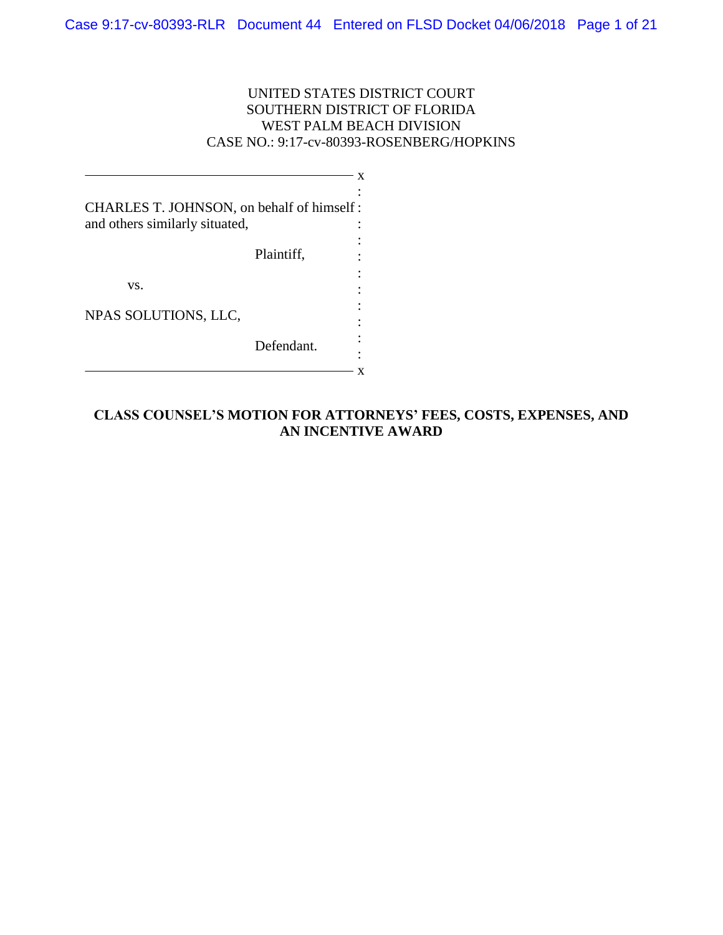# UNITED STATES DISTRICT COURT SOUTHERN DISTRICT OF FLORIDA WEST PALM BEACH DIVISION CASE NO.: 9:17-cv-80393-ROSENBERG/HOPKINS

| CHARLES T. JOHNSON, on behalf of himself:<br>and others similarly situated, |            |  |
|-----------------------------------------------------------------------------|------------|--|
|                                                                             | Plaintiff, |  |
| VS.                                                                         |            |  |
| NPAS SOLUTIONS, LLC,                                                        |            |  |
|                                                                             | Defendant. |  |

# **CLASS COUNSEL'S MOTION FOR ATTORNEYS' FEES, COSTS, EXPENSES, AND AN INCENTIVE AWARD**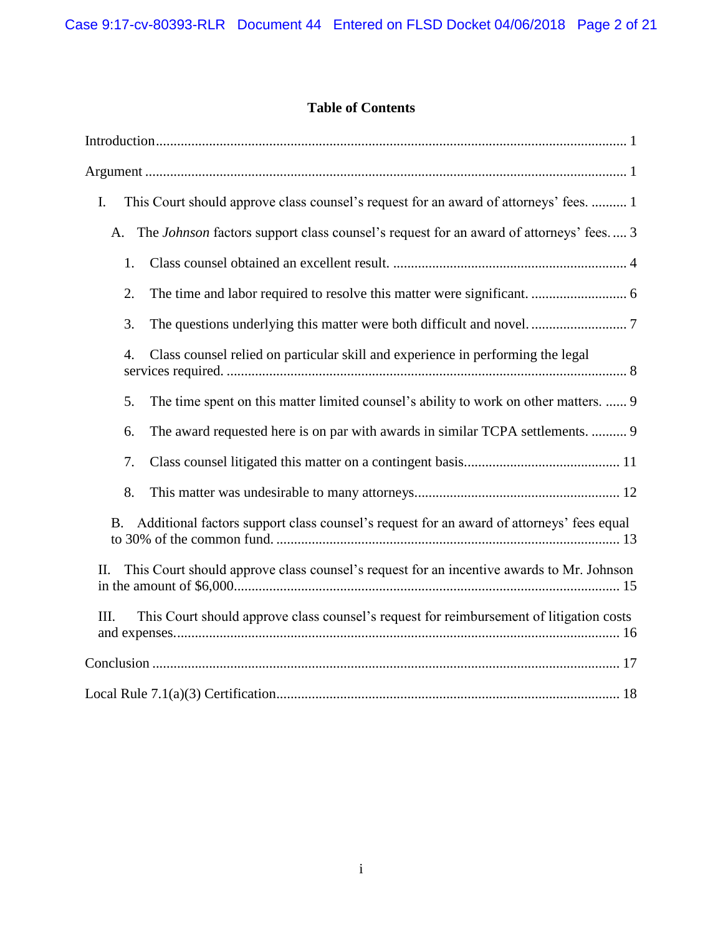# **Table of Contents**

| This Court should approve class counsel's request for an award of attorneys' fees.  1<br>I.     |
|-------------------------------------------------------------------------------------------------|
| The Johnson factors support class counsel's request for an award of attorneys' fees 3<br>A.     |
| 1.                                                                                              |
| 2.                                                                                              |
| 3.                                                                                              |
| Class counsel relied on particular skill and experience in performing the legal<br>4.           |
| The time spent on this matter limited counsel's ability to work on other matters.  9<br>5.      |
| The award requested here is on par with awards in similar TCPA settlements.  9<br>6.            |
| 7.                                                                                              |
| 8.                                                                                              |
| Additional factors support class counsel's request for an award of attorneys' fees equal<br>B.  |
| This Court should approve class counsel's request for an incentive awards to Mr. Johnson<br>II. |
| This Court should approve class counsel's request for reimbursement of litigation costs<br>III. |
|                                                                                                 |
|                                                                                                 |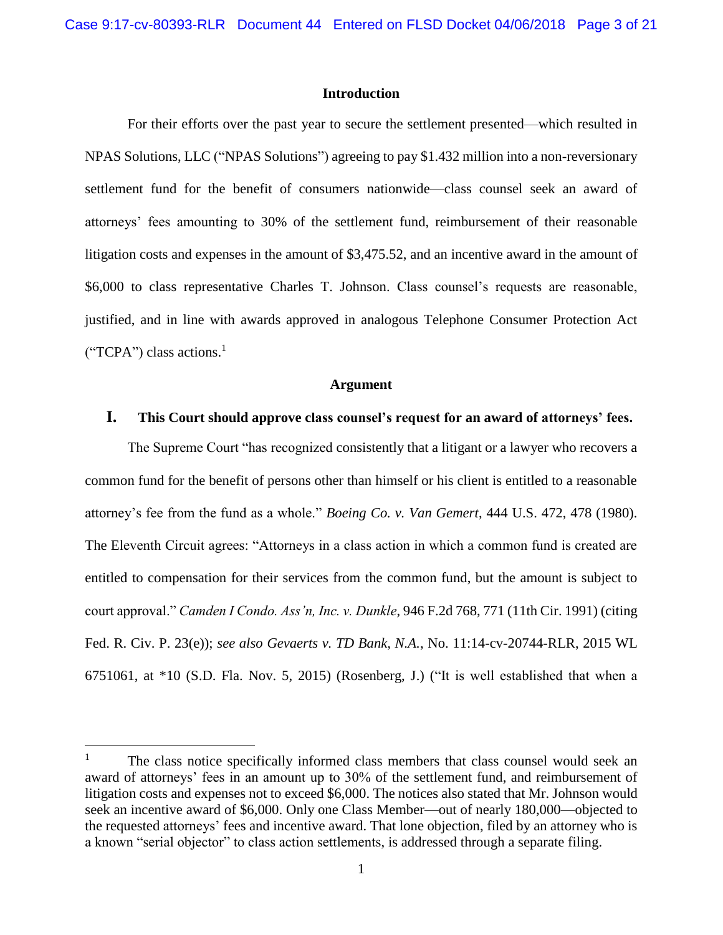### **Introduction**

<span id="page-2-0"></span>For their efforts over the past year to secure the settlement presented—which resulted in NPAS Solutions, LLC ("NPAS Solutions") agreeing to pay \$1.432 million into a non-reversionary settlement fund for the benefit of consumers nationwide—class counsel seek an award of attorneys' fees amounting to 30% of the settlement fund, reimbursement of their reasonable litigation costs and expenses in the amount of \$3,475.52, and an incentive award in the amount of \$6,000 to class representative Charles T. Johnson. Class counsel's requests are reasonable, justified, and in line with awards approved in analogous Telephone Consumer Protection Act  $("TCPA")$  class actions.<sup>1</sup>

#### **Argument**

### <span id="page-2-2"></span><span id="page-2-1"></span>**I. This Court should approve class counsel's request for an award of attorneys' fees.**

The Supreme Court "has recognized consistently that a litigant or a lawyer who recovers a common fund for the benefit of persons other than himself or his client is entitled to a reasonable attorney's fee from the fund as a whole." *Boeing Co. v. Van Gemert*, 444 U.S. 472, 478 (1980). The Eleventh Circuit agrees: "Attorneys in a class action in which a common fund is created are entitled to compensation for their services from the common fund, but the amount is subject to court approval." *Camden I Condo. Ass'n, Inc. v. Dunkle*, 946 F.2d 768, 771 (11th Cir. 1991) (citing Fed. R. Civ. P. 23(e)); *see also Gevaerts v. TD Bank, N.A.*, No. 11:14-cv-20744-RLR, 2015 WL 6751061, at \*10 (S.D. Fla. Nov. 5, 2015) (Rosenberg, J.) ("It is well established that when a

 $\overline{\phantom{a}}$ 

 $1$  The class notice specifically informed class members that class counsel would seek an award of attorneys' fees in an amount up to 30% of the settlement fund, and reimbursement of litigation costs and expenses not to exceed \$6,000. The notices also stated that Mr. Johnson would seek an incentive award of \$6,000. Only one Class Member—out of nearly 180,000—objected to the requested attorneys' fees and incentive award. That lone objection, filed by an attorney who is a known "serial objector" to class action settlements, is addressed through a separate filing.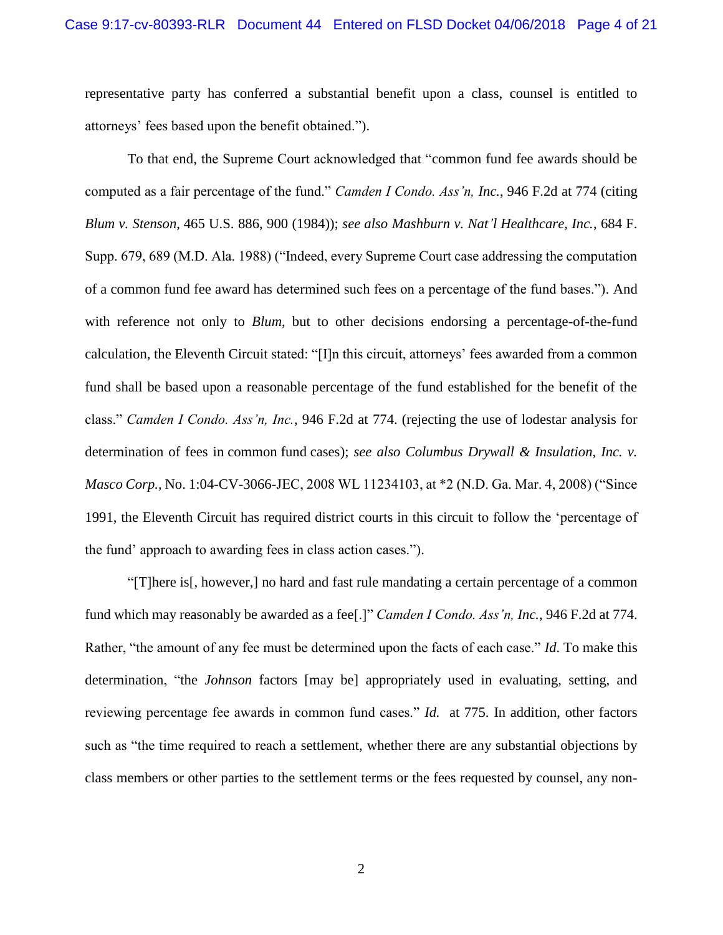representative party has conferred a substantial benefit upon a class, counsel is entitled to attorneys' fees based upon the benefit obtained.").

To that end, the Supreme Court acknowledged that "common fund fee awards should be computed as a fair percentage of the fund." *Camden I Condo. Ass'n, Inc.*, 946 F.2d at 774 (citing *Blum v. Stenson*, 465 U.S. 886, 900 (1984)); *see also Mashburn v. Nat'l Healthcare, Inc.*, 684 F. Supp. 679, 689 (M.D. Ala. 1988) ("Indeed, every Supreme Court case addressing the computation of a common fund fee award has determined such fees on a percentage of the fund bases."). And with reference not only to *Blum*, but to other decisions endorsing a percentage-of-the-fund calculation, the Eleventh Circuit stated: "[I]n this circuit, attorneys' fees awarded from a common fund shall be based upon a reasonable percentage of the fund established for the benefit of the class." *Camden I Condo. Ass'n, Inc.*, 946 F.2d at 774. (rejecting the use of lodestar analysis for determination of fees in common fund cases); *see also Columbus Drywall & Insulation, Inc. v. Masco Corp.*, No. 1:04-CV-3066-JEC, 2008 WL 11234103, at \*2 (N.D. Ga. Mar. 4, 2008) ("Since 1991, the Eleventh Circuit has required district courts in this circuit to follow the 'percentage of the fund' approach to awarding fees in class action cases.").

"[T]here is[, however,] no hard and fast rule mandating a certain percentage of a common fund which may reasonably be awarded as a fee[.]" *Camden I Condo. Ass'n, Inc.*, 946 F.2d at 774. Rather, "the amount of any fee must be determined upon the facts of each case." *Id*. To make this determination, "the *Johnson* factors [may be] appropriately used in evaluating, setting, and reviewing percentage fee awards in common fund cases." *Id.* at 775. In addition, other factors such as "the time required to reach a settlement, whether there are any substantial objections by class members or other parties to the settlement terms or the fees requested by counsel, any non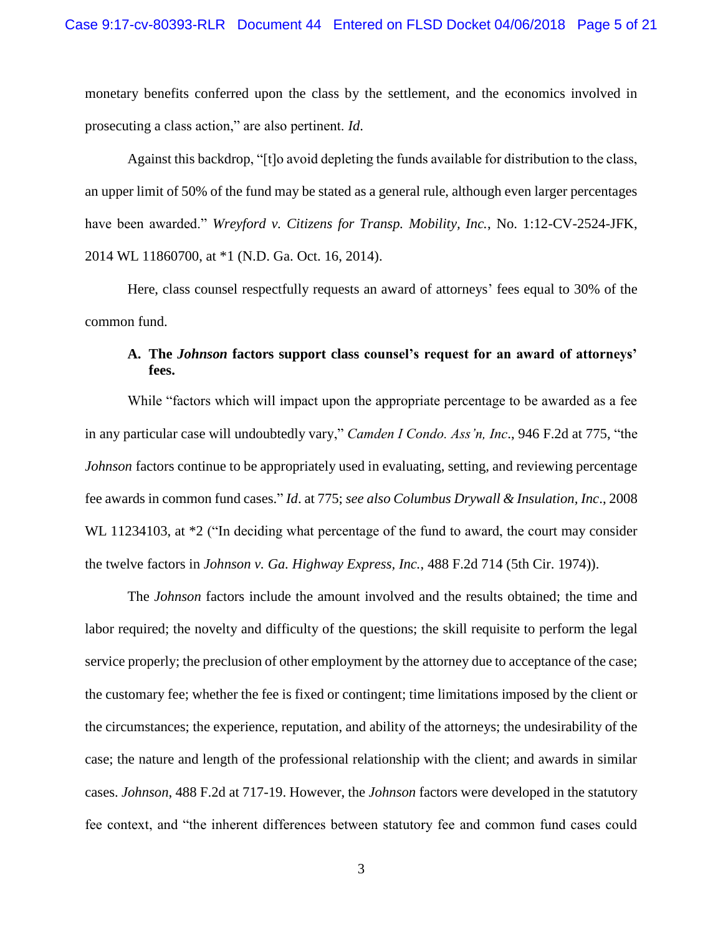monetary benefits conferred upon the class by the settlement, and the economics involved in prosecuting a class action," are also pertinent. *Id*.

Against this backdrop, "[t]o avoid depleting the funds available for distribution to the class, an upper limit of 50% of the fund may be stated as a general rule, although even larger percentages have been awarded." *Wreyford v. Citizens for Transp. Mobility, Inc.*, No. 1:12-CV-2524-JFK, 2014 WL 11860700, at \*1 (N.D. Ga. Oct. 16, 2014).

Here, class counsel respectfully requests an award of attorneys' fees equal to 30% of the common fund.

# <span id="page-4-0"></span>**A. The** *Johnson* **factors support class counsel's request for an award of attorneys' fees.**

While "factors which will impact upon the appropriate percentage to be awarded as a fee in any particular case will undoubtedly vary," *Camden I Condo. Ass'n, Inc*., 946 F.2d at 775, "the *Johnson* factors continue to be appropriately used in evaluating, setting, and reviewing percentage fee awards in common fund cases." *Id*. at 775; *see also Columbus Drywall & Insulation, Inc*., 2008 WL 11234103, at  $*2$  ("In deciding what percentage of the fund to award, the court may consider the twelve factors in *Johnson v. Ga. Highway Express, Inc.*, 488 F.2d 714 (5th Cir. 1974)).

The *Johnson* factors include the amount involved and the results obtained; the time and labor required; the novelty and difficulty of the questions; the skill requisite to perform the legal service properly; the preclusion of other employment by the attorney due to acceptance of the case; the customary fee; whether the fee is fixed or contingent; time limitations imposed by the client or the circumstances; the experience, reputation, and ability of the attorneys; the undesirability of the case; the nature and length of the professional relationship with the client; and awards in similar cases. *Johnson*, 488 F.2d at 717-19. However, the *Johnson* factors were developed in the statutory fee context, and "the inherent differences between statutory fee and common fund cases could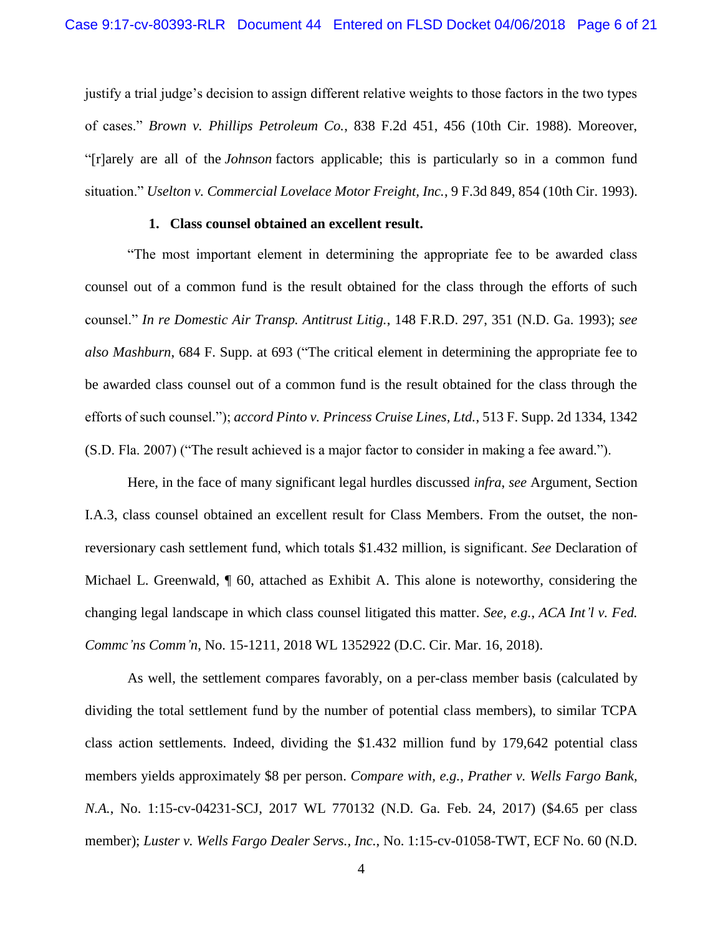justify a trial judge's decision to assign different relative weights to those factors in the two types of cases." *Brown v. Phillips Petroleum Co.*, 838 F.2d 451, 456 (10th Cir. 1988). Moreover, "[r]arely are all of the *Johnson* factors applicable; this is particularly so in a common fund situation." *Uselton v. Commercial Lovelace Motor Freight, Inc.*, 9 F.3d 849, 854 (10th Cir. 1993).

### **1. Class counsel obtained an excellent result.**

<span id="page-5-0"></span>"The most important element in determining the appropriate fee to be awarded class counsel out of a common fund is the result obtained for the class through the efforts of such counsel." *In re Domestic Air Transp. Antitrust Litig.*, 148 F.R.D. 297, 351 (N.D. Ga. 1993); *see also Mashburn*, 684 F. Supp. at 693 ("The critical element in determining the appropriate fee to be awarded class counsel out of a common fund is the result obtained for the class through the efforts of such counsel."); *accord Pinto v. Princess Cruise Lines, Ltd.*, 513 F. Supp. 2d 1334, 1342 (S.D. Fla. 2007) ("The result achieved is a major factor to consider in making a fee award.").

Here, in the face of many significant legal hurdles discussed *infra*, *see* Argument, Section I.A.3, class counsel obtained an excellent result for Class Members. From the outset, the nonreversionary cash settlement fund, which totals \$1.432 million, is significant. *See* Declaration of Michael L. Greenwald, ¶ 60, attached as Exhibit A. This alone is noteworthy, considering the changing legal landscape in which class counsel litigated this matter. *See, e.g.*, *ACA Int'l v. Fed. Commc'ns Comm'n*, No. 15-1211, 2018 WL 1352922 (D.C. Cir. Mar. 16, 2018).

As well, the settlement compares favorably, on a per-class member basis (calculated by dividing the total settlement fund by the number of potential class members), to similar TCPA class action settlements. Indeed, dividing the \$1.432 million fund by 179,642 potential class members yields approximately \$8 per person. *Compare with, e.g.*, *Prather v. Wells Fargo Bank, N.A.*, No. 1:15-cv-04231-SCJ, 2017 WL 770132 (N.D. Ga. Feb. 24, 2017) (\$4.65 per class member); *Luster v. Wells Fargo Dealer Servs., Inc.*, No. 1:15-cv-01058-TWT, ECF No. 60 (N.D.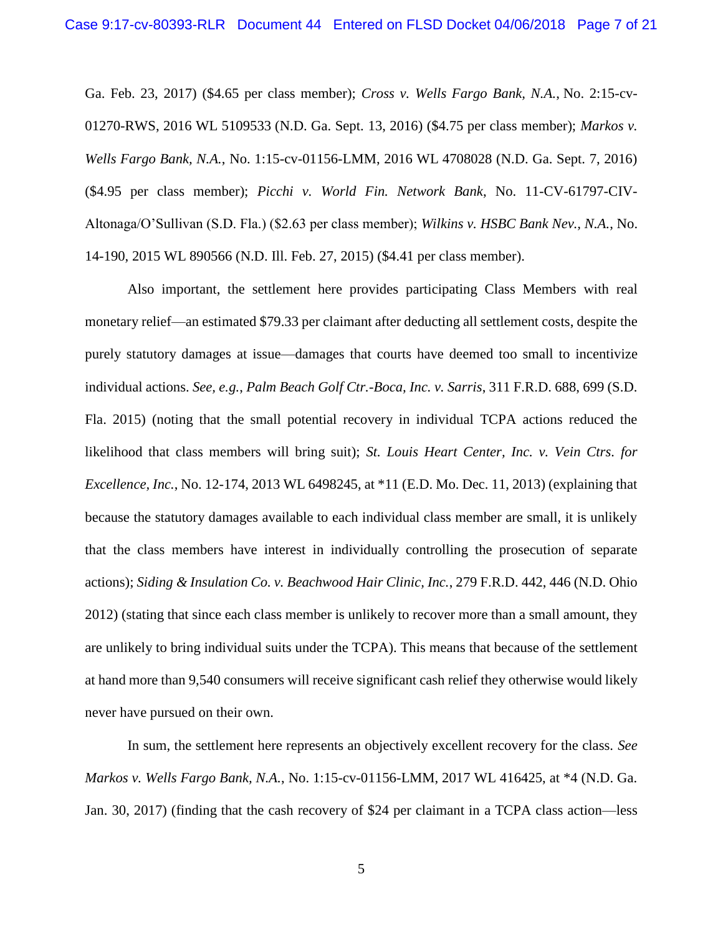Ga. Feb. 23, 2017) (\$4.65 per class member); *Cross v. Wells Fargo Bank, N.A.*, No. 2:15-cv-01270-RWS, 2016 WL 5109533 (N.D. Ga. Sept. 13, 2016) (\$4.75 per class member); *Markos v. Wells Fargo Bank, N.A.*, No. 1:15-cv-01156-LMM, 2016 WL 4708028 (N.D. Ga. Sept. 7, 2016) (\$4.95 per class member); *Picchi v. World Fin. Network Bank*, No. 11-CV-61797-CIV-Altonaga/O'Sullivan (S.D. Fla.) (\$2.63 per class member); *Wilkins v. HSBC Bank Nev., N.A.*, No. 14-190, 2015 WL 890566 (N.D. Ill. Feb. 27, 2015) (\$4.41 per class member).

Also important, the settlement here provides participating Class Members with real monetary relief—an estimated \$79.33 per claimant after deducting all settlement costs, despite the purely statutory damages at issue—damages that courts have deemed too small to incentivize individual actions. *See, e.g.*, *Palm Beach Golf Ctr.-Boca, Inc. v. Sarris*, 311 F.R.D. 688, 699 (S.D. Fla. 2015) (noting that the small potential recovery in individual TCPA actions reduced the likelihood that class members will bring suit); *St. Louis Heart Center, Inc. v. Vein Ctrs. for Excellence, Inc.*, No. 12-174, 2013 WL 6498245, at \*11 (E.D. Mo. Dec. 11, 2013) (explaining that because the statutory damages available to each individual class member are small, it is unlikely that the class members have interest in individually controlling the prosecution of separate actions); *Siding & Insulation Co. v. Beachwood Hair Clinic, Inc.*, 279 F.R.D. 442, 446 (N.D. Ohio 2012) (stating that since each class member is unlikely to recover more than a small amount, they are unlikely to bring individual suits under the TCPA). This means that because of the settlement at hand more than 9,540 consumers will receive significant cash relief they otherwise would likely never have pursued on their own.

In sum, the settlement here represents an objectively excellent recovery for the class. *See Markos v. Wells Fargo Bank, N.A.*, No. 1:15-cv-01156-LMM, 2017 WL 416425, at \*4 (N.D. Ga. Jan. 30, 2017) (finding that the cash recovery of \$24 per claimant in a TCPA class action—less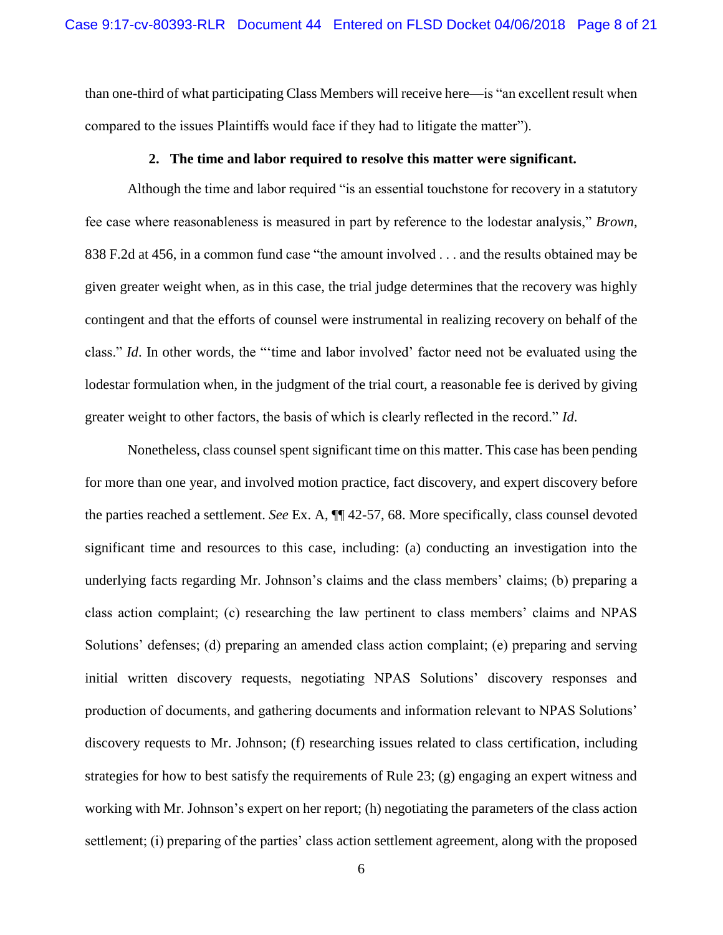than one-third of what participating Class Members will receive here—is "an excellent result when compared to the issues Plaintiffs would face if they had to litigate the matter").

#### **2. The time and labor required to resolve this matter were significant.**

<span id="page-7-0"></span>Although the time and labor required "is an essential touchstone for recovery in a statutory fee case where reasonableness is measured in part by reference to the lodestar analysis," *Brown*, 838 F.2d at 456, in a common fund case "the amount involved . . . and the results obtained may be given greater weight when, as in this case, the trial judge determines that the recovery was highly contingent and that the efforts of counsel were instrumental in realizing recovery on behalf of the class." *Id*. In other words, the "'time and labor involved' factor need not be evaluated using the lodestar formulation when, in the judgment of the trial court, a reasonable fee is derived by giving greater weight to other factors, the basis of which is clearly reflected in the record." *Id*.

Nonetheless, class counsel spent significant time on this matter. This case has been pending for more than one year, and involved motion practice, fact discovery, and expert discovery before the parties reached a settlement. *See* Ex. A, ¶¶ 42-57, 68. More specifically, class counsel devoted significant time and resources to this case, including: (a) conducting an investigation into the underlying facts regarding Mr. Johnson's claims and the class members' claims; (b) preparing a class action complaint; (c) researching the law pertinent to class members' claims and NPAS Solutions' defenses; (d) preparing an amended class action complaint; (e) preparing and serving initial written discovery requests, negotiating NPAS Solutions' discovery responses and production of documents, and gathering documents and information relevant to NPAS Solutions' discovery requests to Mr. Johnson; (f) researching issues related to class certification, including strategies for how to best satisfy the requirements of Rule 23; (g) engaging an expert witness and working with Mr. Johnson's expert on her report; (h) negotiating the parameters of the class action settlement; (i) preparing of the parties' class action settlement agreement, along with the proposed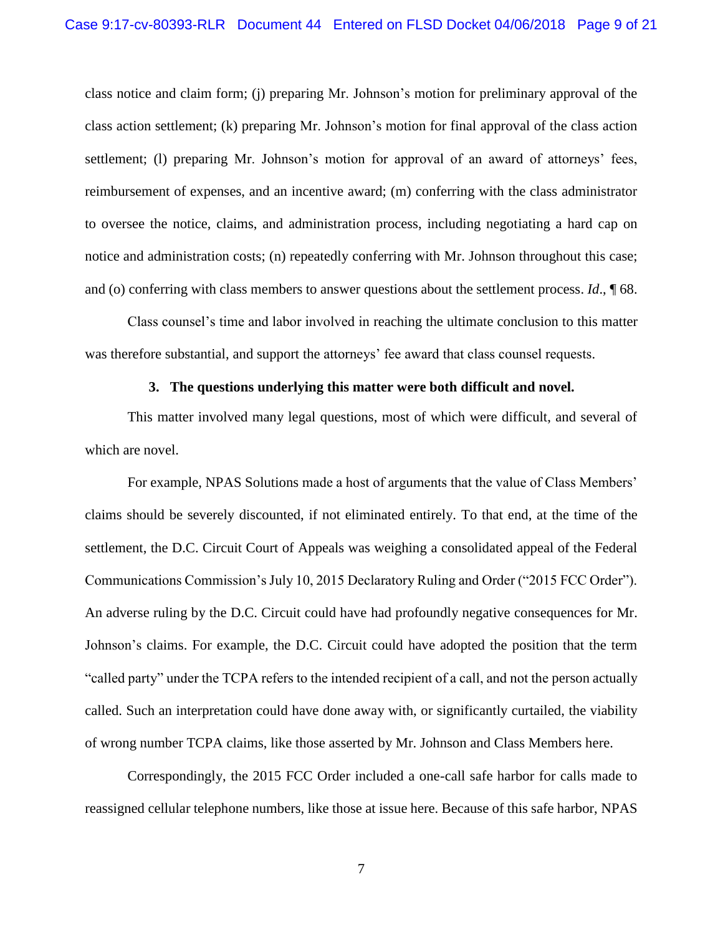class notice and claim form; (j) preparing Mr. Johnson's motion for preliminary approval of the class action settlement; (k) preparing Mr. Johnson's motion for final approval of the class action settlement; (l) preparing Mr. Johnson's motion for approval of an award of attorneys' fees, reimbursement of expenses, and an incentive award; (m) conferring with the class administrator to oversee the notice, claims, and administration process, including negotiating a hard cap on notice and administration costs; (n) repeatedly conferring with Mr. Johnson throughout this case; and (o) conferring with class members to answer questions about the settlement process. *Id*., ¶ 68.

Class counsel's time and labor involved in reaching the ultimate conclusion to this matter was therefore substantial, and support the attorneys' fee award that class counsel requests.

### **3. The questions underlying this matter were both difficult and novel.**

<span id="page-8-0"></span>This matter involved many legal questions, most of which were difficult, and several of which are novel.

For example, NPAS Solutions made a host of arguments that the value of Class Members' claims should be severely discounted, if not eliminated entirely. To that end, at the time of the settlement, the D.C. Circuit Court of Appeals was weighing a consolidated appeal of the Federal Communications Commission's July 10, 2015 Declaratory Ruling and Order ("2015 FCC Order"). An adverse ruling by the D.C. Circuit could have had profoundly negative consequences for Mr. Johnson's claims. For example, the D.C. Circuit could have adopted the position that the term "called party" under the TCPA refers to the intended recipient of a call, and not the person actually called. Such an interpretation could have done away with, or significantly curtailed, the viability of wrong number TCPA claims, like those asserted by Mr. Johnson and Class Members here.

Correspondingly, the 2015 FCC Order included a one-call safe harbor for calls made to reassigned cellular telephone numbers, like those at issue here. Because of this safe harbor, NPAS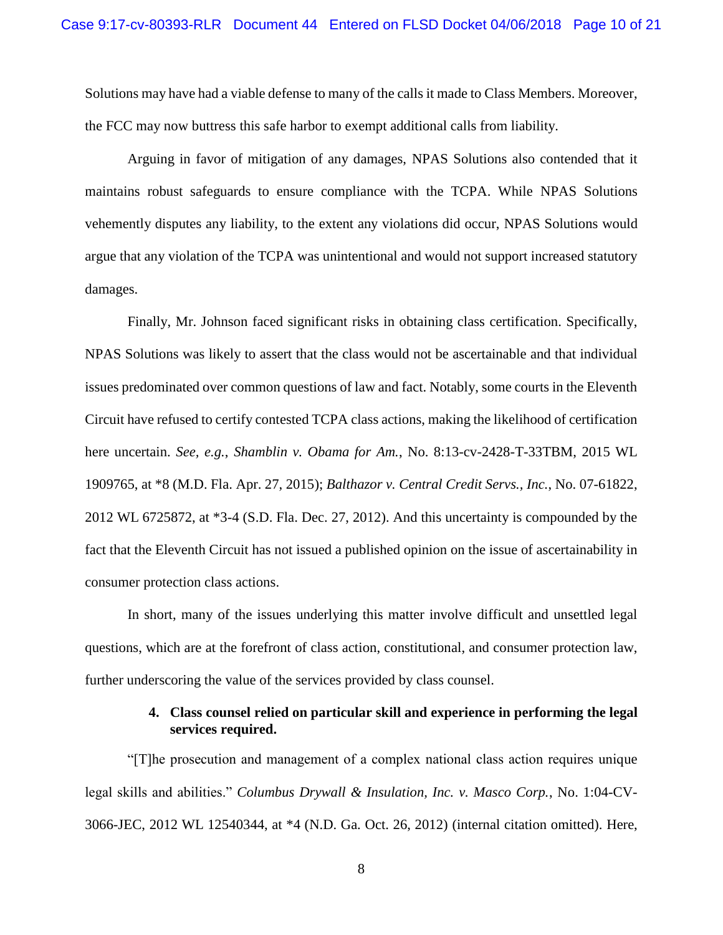Solutions may have had a viable defense to many of the calls it made to Class Members. Moreover, the FCC may now buttress this safe harbor to exempt additional calls from liability.

Arguing in favor of mitigation of any damages, NPAS Solutions also contended that it maintains robust safeguards to ensure compliance with the TCPA. While NPAS Solutions vehemently disputes any liability, to the extent any violations did occur, NPAS Solutions would argue that any violation of the TCPA was unintentional and would not support increased statutory damages.

Finally, Mr. Johnson faced significant risks in obtaining class certification. Specifically, NPAS Solutions was likely to assert that the class would not be ascertainable and that individual issues predominated over common questions of law and fact. Notably, some courts in the Eleventh Circuit have refused to certify contested TCPA class actions, making the likelihood of certification here uncertain. *See, e.g.*, *Shamblin v. Obama for Am.*, No. 8:13-cv-2428-T-33TBM, 2015 WL 1909765, at \*8 (M.D. Fla. Apr. 27, 2015); *Balthazor v. Central Credit Servs., Inc.*, No. 07-61822, 2012 WL 6725872, at \*3-4 (S.D. Fla. Dec. 27, 2012). And this uncertainty is compounded by the fact that the Eleventh Circuit has not issued a published opinion on the issue of ascertainability in consumer protection class actions.

In short, many of the issues underlying this matter involve difficult and unsettled legal questions, which are at the forefront of class action, constitutional, and consumer protection law, further underscoring the value of the services provided by class counsel.

### **4. Class counsel relied on particular skill and experience in performing the legal services required.**

<span id="page-9-0"></span>"[T]he prosecution and management of a complex national class action requires unique legal skills and abilities." *Columbus Drywall & Insulation, Inc. v. Masco Corp.*, No. 1:04-CV-3066-JEC, 2012 WL 12540344, at \*4 (N.D. Ga. Oct. 26, 2012) (internal citation omitted). Here,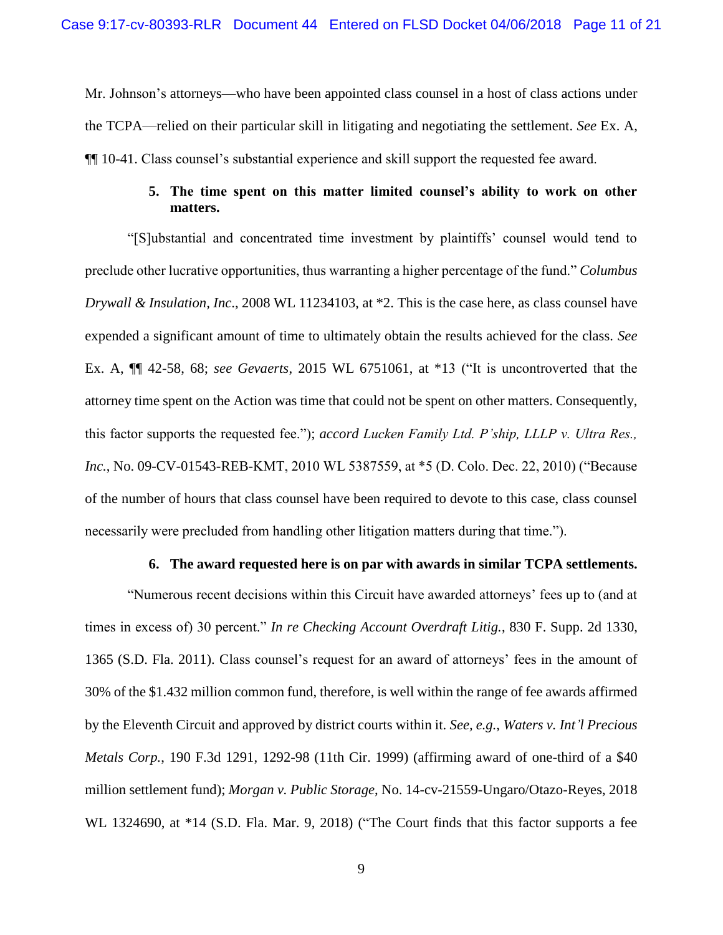Mr. Johnson's attorneys—who have been appointed class counsel in a host of class actions under the TCPA—relied on their particular skill in litigating and negotiating the settlement. *See* Ex. A, ¶¶ 10-41. Class counsel's substantial experience and skill support the requested fee award.

# **5. The time spent on this matter limited counsel's ability to work on other matters.**

<span id="page-10-0"></span>"[S]ubstantial and concentrated time investment by plaintiffs' counsel would tend to preclude other lucrative opportunities, thus warranting a higher percentage of the fund." *Columbus Drywall & Insulation, Inc*., 2008 WL 11234103, at \*2. This is the case here, as class counsel have expended a significant amount of time to ultimately obtain the results achieved for the class. *See*  Ex. A, ¶¶ 42-58, 68; *see Gevaerts*, 2015 WL 6751061, at \*13 ("It is uncontroverted that the attorney time spent on the Action was time that could not be spent on other matters. Consequently, this factor supports the requested fee."); *accord Lucken Family Ltd. P'ship, LLLP v. Ultra Res., Inc.*, No. 09-CV-01543-REB-KMT, 2010 WL 5387559, at \*5 (D. Colo. Dec. 22, 2010) ("Because of the number of hours that class counsel have been required to devote to this case, class counsel necessarily were precluded from handling other litigation matters during that time.").

#### **6. The award requested here is on par with awards in similar TCPA settlements.**

<span id="page-10-1"></span>"Numerous recent decisions within this Circuit have awarded attorneys' fees up to (and at times in excess of) 30 percent." *In re Checking Account Overdraft Litig.*, 830 F. Supp. 2d 1330, 1365 (S.D. Fla. 2011). Class counsel's request for an award of attorneys' fees in the amount of 30% of the \$1.432 million common fund, therefore, is well within the range of fee awards affirmed by the Eleventh Circuit and approved by district courts within it. *See, e.g.*, *Waters v. Int'l Precious Metals Corp.*, 190 F.3d 1291, 1292-98 (11th Cir. 1999) (affirming award of one-third of a \$40 million settlement fund); *Morgan v. Public Storage*, No. 14-cv-21559-Ungaro/Otazo-Reyes, 2018 WL 1324690, at \*14 (S.D. Fla. Mar. 9, 2018) ("The Court finds that this factor supports a fee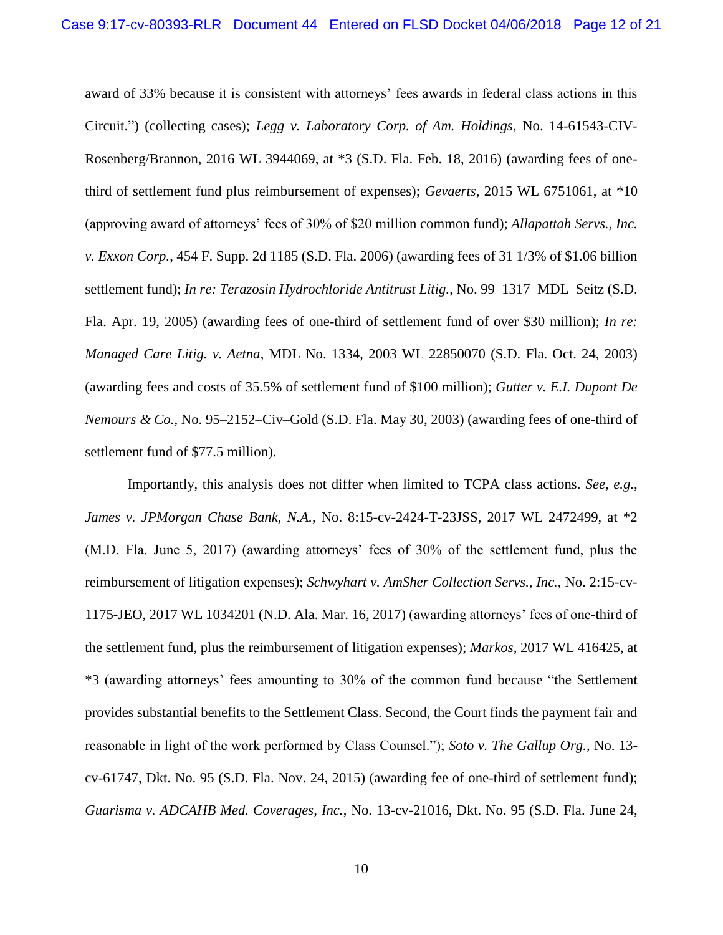award of 33% because it is consistent with attorneys' fees awards in federal class actions in this Circuit.") (collecting cases); *Legg v. Laboratory Corp. of Am. Holdings*, No. 14-61543-CIV-Rosenberg/Brannon, 2016 WL 3944069, at \*3 (S.D. Fla. Feb. 18, 2016) (awarding fees of onethird of settlement fund plus reimbursement of expenses); *Gevaerts*, 2015 WL 6751061, at \*10 (approving award of attorneys' fees of 30% of \$20 million common fund); *Allapattah Servs., Inc. v. Exxon Corp.*, 454 F. Supp. 2d 1185 (S.D. Fla. 2006) (awarding fees of 31 1/3% of \$1.06 billion settlement fund); *In re: Terazosin Hydrochloride Antitrust Litig.*, No. 99–1317–MDL–Seitz (S.D. Fla. Apr. 19, 2005) (awarding fees of one-third of settlement fund of over \$30 million); *In re: Managed Care Litig. v. Aetna*, MDL No. 1334, 2003 WL 22850070 (S.D. Fla. Oct. 24, 2003) (awarding fees and costs of 35.5% of settlement fund of \$100 million); *Gutter v. E.I. Dupont De Nemours & Co.*, No. 95–2152–Civ–Gold (S.D. Fla. May 30, 2003) (awarding fees of one-third of settlement fund of \$77.5 million).

Importantly, this analysis does not differ when limited to TCPA class actions. *See, e.g.*, *James v. JPMorgan Chase Bank, N.A.*, No. 8:15-cv-2424-T-23JSS, 2017 WL 2472499, at \*2 (M.D. Fla. June 5, 2017) (awarding attorneys' fees of 30% of the settlement fund, plus the reimbursement of litigation expenses); *Schwyhart v. AmSher Collection Servs., Inc.*, No. 2:15-cv-1175-JEO, 2017 WL 1034201 (N.D. Ala. Mar. 16, 2017) (awarding attorneys' fees of one-third of the settlement fund, plus the reimbursement of litigation expenses); *Markos*, 2017 WL 416425, at \*3 (awarding attorneys' fees amounting to 30% of the common fund because "the Settlement provides substantial benefits to the Settlement Class. Second, the Court finds the payment fair and reasonable in light of the work performed by Class Counsel."); *Soto v. The Gallup Org.*, No. 13 cv-61747, Dkt. No. 95 (S.D. Fla. Nov. 24, 2015) (awarding fee of one-third of settlement fund); *Guarisma v. ADCAHB Med. Coverages, Inc.*, No. 13-cv-21016, Dkt. No. 95 (S.D. Fla. June 24,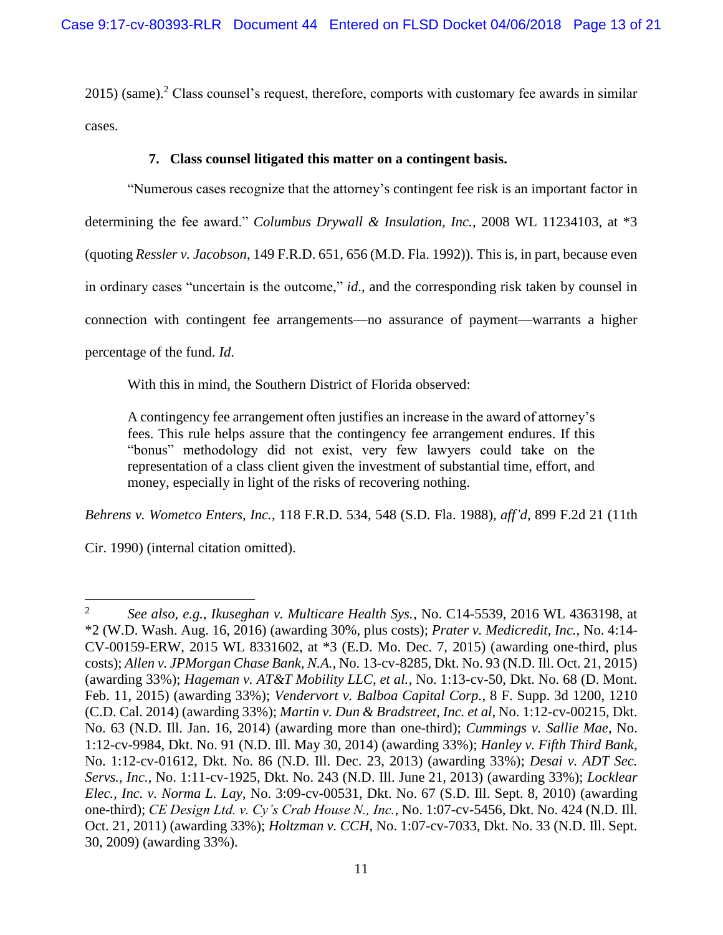$2015$ ) (same).<sup>2</sup> Class counsel's request, therefore, comports with customary fee awards in similar cases.

### **7. Class counsel litigated this matter on a contingent basis.**

<span id="page-12-0"></span>"Numerous cases recognize that the attorney's contingent fee risk is an important factor in determining the fee award." *Columbus Drywall & Insulation, Inc.*, 2008 WL 11234103, at \*3 (quoting *Ressler v. Jacobson*, 149 F.R.D. 651, 656 (M.D. Fla. 1992)). This is, in part, because even in ordinary cases "uncertain is the outcome," *id*., and the corresponding risk taken by counsel in connection with contingent fee arrangements—no assurance of payment—warrants a higher percentage of the fund. *Id*.

With this in mind, the Southern District of Florida observed:

A contingency fee arrangement often justifies an increase in the award of attorney's fees. This rule helps assure that the contingency fee arrangement endures. If this "bonus" methodology did not exist, very few lawyers could take on the representation of a class client given the investment of substantial time, effort, and money, especially in light of the risks of recovering nothing.

*Behrens v. Wometco Enters, Inc.*, 118 F.R.D. 534, 548 (S.D. Fla. 1988), *aff'd,* 899 F.2d 21 (11th

Cir. 1990) (internal citation omitted).

 $\overline{\phantom{a}}$ 

<sup>2</sup> *See also, e.g.*, *Ikuseghan v. Multicare Health Sys.*, No. C14-5539, 2016 WL 4363198, at \*2 (W.D. Wash. Aug. 16, 2016) (awarding 30%, plus costs); *Prater v. Medicredit, Inc.*, No. 4:14- CV-00159-ERW, 2015 WL 8331602, at \*3 (E.D. Mo. Dec. 7, 2015) (awarding one-third, plus costs); *Allen v. JPMorgan Chase Bank, N.A.*, No. 13-cv-8285, Dkt. No. 93 (N.D. Ill. Oct. 21, 2015) (awarding 33%); *Hageman v. AT&T Mobility LLC, et al.*, No. 1:13-cv-50, Dkt. No. 68 (D. Mont. Feb. 11, 2015) (awarding 33%); *Vendervort v. Balboa Capital Corp.*, 8 F. Supp. 3d 1200, 1210 (C.D. Cal. 2014) (awarding 33%); *Martin v. Dun & Bradstreet, Inc. et al*, No. 1:12-cv-00215, Dkt. No. 63 (N.D. Ill. Jan. 16, 2014) (awarding more than one-third); *Cummings v. Sallie Mae*, No. 1:12-cv-9984, Dkt. No. 91 (N.D. Ill. May 30, 2014) (awarding 33%); *Hanley v. Fifth Third Bank*, No. 1:12-cv-01612, Dkt. No. 86 (N.D. Ill. Dec. 23, 2013) (awarding 33%); *Desai v. ADT Sec. Servs., Inc.*, No. 1:11-cv-1925, Dkt. No. 243 (N.D. Ill. June 21, 2013) (awarding 33%); *Locklear Elec., Inc. v. Norma L. Lay*, No. 3:09-cv-00531, Dkt. No. 67 (S.D. Ill. Sept. 8, 2010) (awarding one-third); *CE Design Ltd. v. Cy's Crab House N., Inc.*, No. 1:07-cv-5456, Dkt. No. 424 (N.D. Ill. Oct. 21, 2011) (awarding 33%); *Holtzman v. CCH*, No. 1:07-cv-7033, Dkt. No. 33 (N.D. Ill. Sept. 30, 2009) (awarding 33%).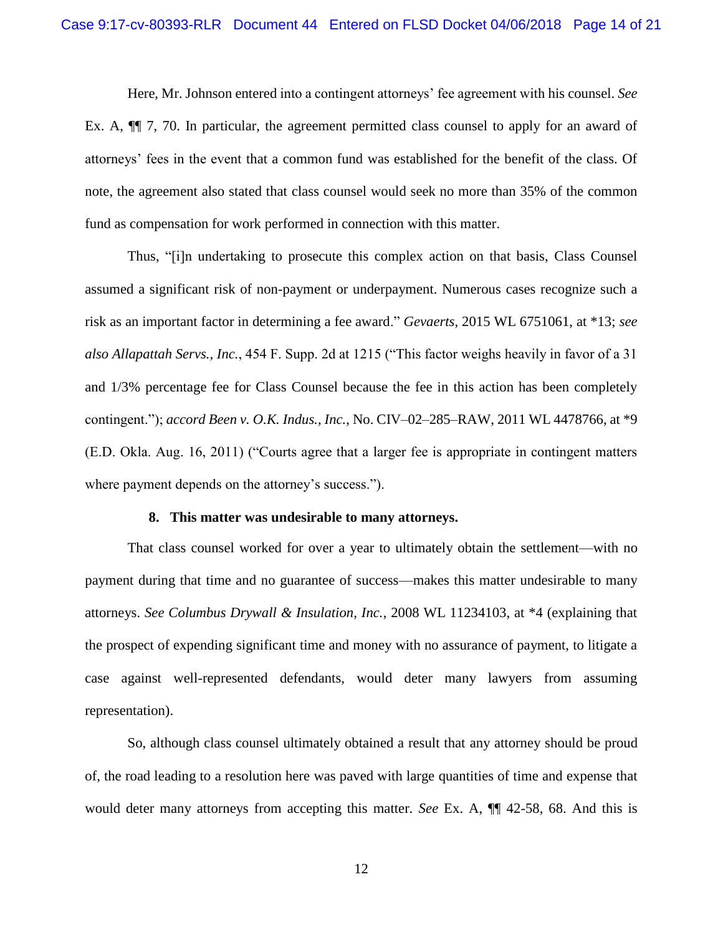Here, Mr. Johnson entered into a contingent attorneys' fee agreement with his counsel. *See*  Ex. A, ¶¶ 7, 70. In particular, the agreement permitted class counsel to apply for an award of attorneys' fees in the event that a common fund was established for the benefit of the class. Of note, the agreement also stated that class counsel would seek no more than 35% of the common fund as compensation for work performed in connection with this matter.

Thus, "[i]n undertaking to prosecute this complex action on that basis, Class Counsel assumed a significant risk of non-payment or underpayment. Numerous cases recognize such a risk as an important factor in determining a fee award." *Gevaerts*, 2015 WL 6751061, at \*13; *see also Allapattah Servs., Inc.*, 454 F. Supp. 2d at 1215 ("This factor weighs heavily in favor of a 31 and 1/3% percentage fee for Class Counsel because the fee in this action has been completely contingent."); *accord Been v. O.K. Indus., Inc.*, No. CIV–02–285–RAW, 2011 WL 4478766, at \*9 (E.D. Okla. Aug. 16, 2011) ("Courts agree that a larger fee is appropriate in contingent matters where payment depends on the attorney's success.").

#### **8. This matter was undesirable to many attorneys.**

<span id="page-13-0"></span>That class counsel worked for over a year to ultimately obtain the settlement—with no payment during that time and no guarantee of success—makes this matter undesirable to many attorneys. *See Columbus Drywall & Insulation, Inc.*, 2008 WL 11234103, at \*4 (explaining that the prospect of expending significant time and money with no assurance of payment, to litigate a case against well-represented defendants, would deter many lawyers from assuming representation).

So, although class counsel ultimately obtained a result that any attorney should be proud of, the road leading to a resolution here was paved with large quantities of time and expense that would deter many attorneys from accepting this matter. *See* Ex. A, ¶¶ 42-58, 68. And this is

12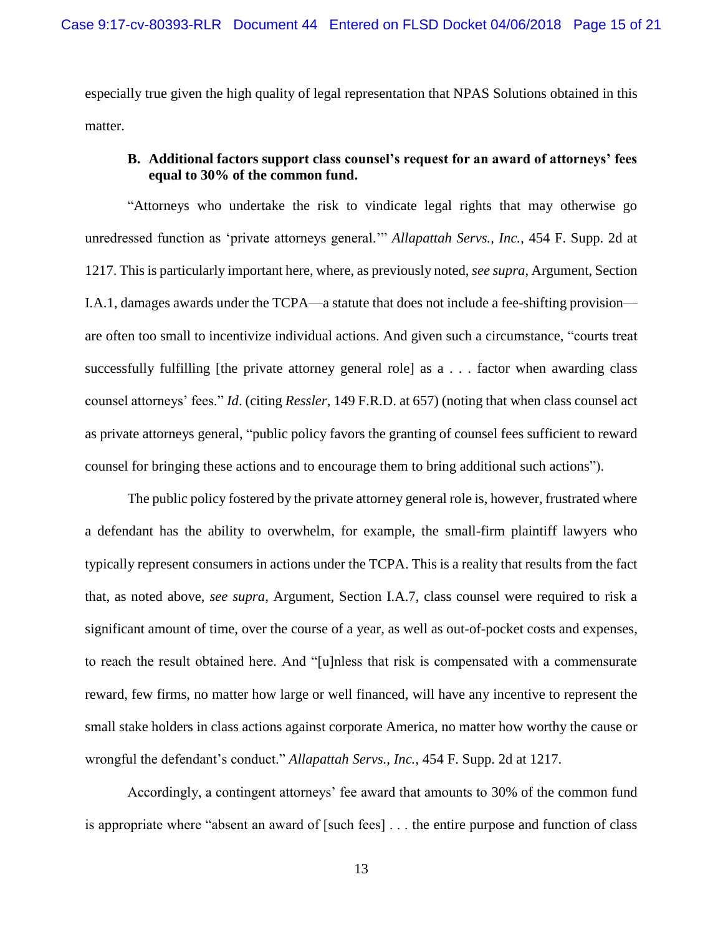especially true given the high quality of legal representation that NPAS Solutions obtained in this matter.

### <span id="page-14-0"></span>**B. Additional factors support class counsel's request for an award of attorneys' fees equal to 30% of the common fund.**

"Attorneys who undertake the risk to vindicate legal rights that may otherwise go unredressed function as 'private attorneys general.'" *Allapattah Servs., Inc.*, 454 F. Supp. 2d at 1217. This is particularly important here, where, as previously noted, *see supra*, Argument, Section I.A.1, damages awards under the TCPA—a statute that does not include a fee-shifting provision are often too small to incentivize individual actions. And given such a circumstance, "courts treat successfully fulfilling [the private attorney general role] as a . . . factor when awarding class counsel attorneys' fees." *Id*. (citing *Ressler*, 149 F.R.D. at 657) (noting that when class counsel act as private attorneys general, "public policy favors the granting of counsel fees sufficient to reward counsel for bringing these actions and to encourage them to bring additional such actions").

The public policy fostered by the private attorney general role is, however, frustrated where a defendant has the ability to overwhelm, for example, the small-firm plaintiff lawyers who typically represent consumers in actions under the TCPA. This is a reality that results from the fact that, as noted above, *see supra*, Argument, Section I.A.7, class counsel were required to risk a significant amount of time, over the course of a year, as well as out-of-pocket costs and expenses, to reach the result obtained here. And "[u]nless that risk is compensated with a commensurate reward, few firms, no matter how large or well financed, will have any incentive to represent the small stake holders in class actions against corporate America, no matter how worthy the cause or wrongful the defendant's conduct." *Allapattah Servs., Inc.*, 454 F. Supp. 2d at 1217.

Accordingly, a contingent attorneys' fee award that amounts to 30% of the common fund is appropriate where "absent an award of [such fees] . . . the entire purpose and function of class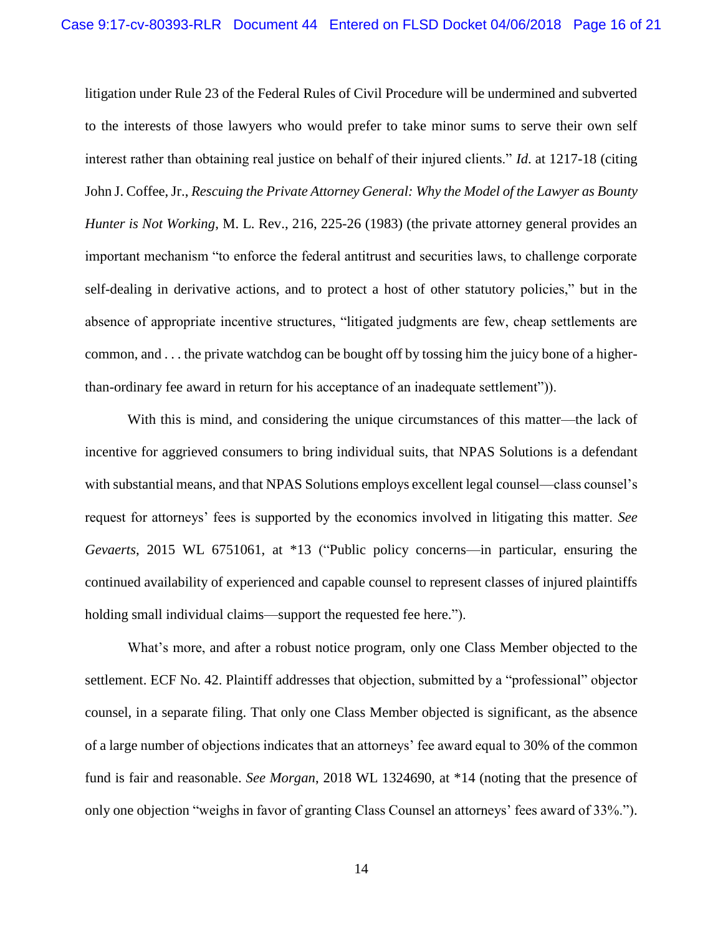litigation under Rule 23 of the Federal Rules of Civil Procedure will be undermined and subverted to the interests of those lawyers who would prefer to take minor sums to serve their own self interest rather than obtaining real justice on behalf of their injured clients." *Id*. at 1217-18 (citing John J. Coffee, Jr., *Rescuing the Private Attorney General: Why the Model of the Lawyer as Bounty Hunter is Not Working*, M. L. Rev., 216, 225-26 (1983) (the private attorney general provides an important mechanism "to enforce the federal antitrust and securities laws, to challenge corporate self-dealing in derivative actions, and to protect a host of other statutory policies," but in the absence of appropriate incentive structures, "litigated judgments are few, cheap settlements are common, and . . . the private watchdog can be bought off by tossing him the juicy bone of a higherthan-ordinary fee award in return for his acceptance of an inadequate settlement")).

With this is mind, and considering the unique circumstances of this matter—the lack of incentive for aggrieved consumers to bring individual suits, that NPAS Solutions is a defendant with substantial means, and that NPAS Solutions employs excellent legal counsel—class counsel's request for attorneys' fees is supported by the economics involved in litigating this matter. *See Gevaerts*, 2015 WL 6751061, at \*13 ("Public policy concerns—in particular, ensuring the continued availability of experienced and capable counsel to represent classes of injured plaintiffs holding small individual claims—support the requested fee here.").

What's more, and after a robust notice program, only one Class Member objected to the settlement. ECF No. 42. Plaintiff addresses that objection, submitted by a "professional" objector counsel, in a separate filing. That only one Class Member objected is significant, as the absence of a large number of objections indicates that an attorneys' fee award equal to 30% of the common fund is fair and reasonable. *See Morgan*, 2018 WL 1324690, at \*14 (noting that the presence of only one objection "weighs in favor of granting Class Counsel an attorneys' fees award of 33%.").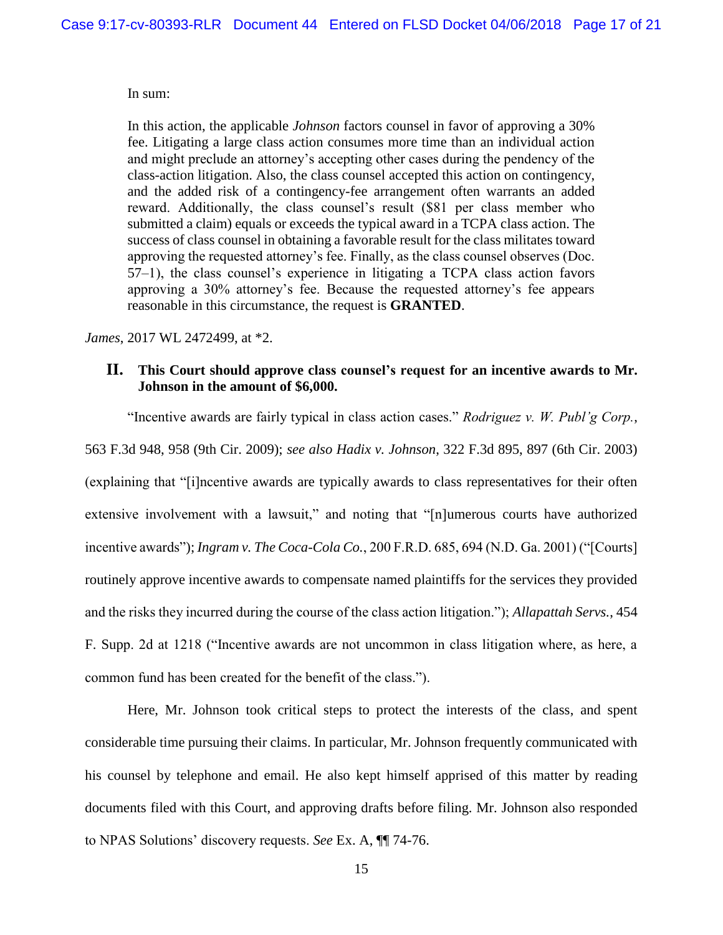### In sum:

In this action, the applicable *Johnson* factors counsel in favor of approving a 30% fee. Litigating a large class action consumes more time than an individual action and might preclude an attorney's accepting other cases during the pendency of the class-action litigation. Also, the class counsel accepted this action on contingency, and the added risk of a contingency-fee arrangement often warrants an added reward. Additionally, the class counsel's result (\$81 per class member who submitted a claim) equals or exceeds the typical award in a TCPA class action. The success of class counsel in obtaining a favorable result for the class militates toward approving the requested attorney's fee. Finally, as the class counsel observes (Doc. 57–1), the class counsel's experience in litigating a TCPA class action favors approving a 30% attorney's fee. Because the requested attorney's fee appears reasonable in this circumstance, the request is **GRANTED**.

*James*, 2017 WL 2472499, at \*2.

### <span id="page-16-0"></span>**II. This Court should approve class counsel's request for an incentive awards to Mr. Johnson in the amount of \$6,000.**

"Incentive awards are fairly typical in class action cases." *Rodriguez v. W. Publ'g Corp.*,

563 F.3d 948, 958 (9th Cir. 2009); *see also Hadix v. Johnson*, 322 F.3d 895, 897 (6th Cir. 2003)

(explaining that "[i]ncentive awards are typically awards to class representatives for their often extensive involvement with a lawsuit," and noting that "[n]umerous courts have authorized incentive awards"); *Ingram v. The Coca-Cola Co.*, 200 F.R.D. 685, 694 (N.D. Ga. 2001) ("[Courts] routinely approve incentive awards to compensate named plaintiffs for the services they provided and the risks they incurred during the course of the class action litigation."); *Allapattah Servs.*, 454 F. Supp. 2d at 1218 ("Incentive awards are not uncommon in class litigation where, as here, a common fund has been created for the benefit of the class.").

Here, Mr. Johnson took critical steps to protect the interests of the class, and spent considerable time pursuing their claims. In particular, Mr. Johnson frequently communicated with his counsel by telephone and email. He also kept himself apprised of this matter by reading documents filed with this Court, and approving drafts before filing. Mr. Johnson also responded to NPAS Solutions' discovery requests. *See* Ex. A, ¶¶ 74-76.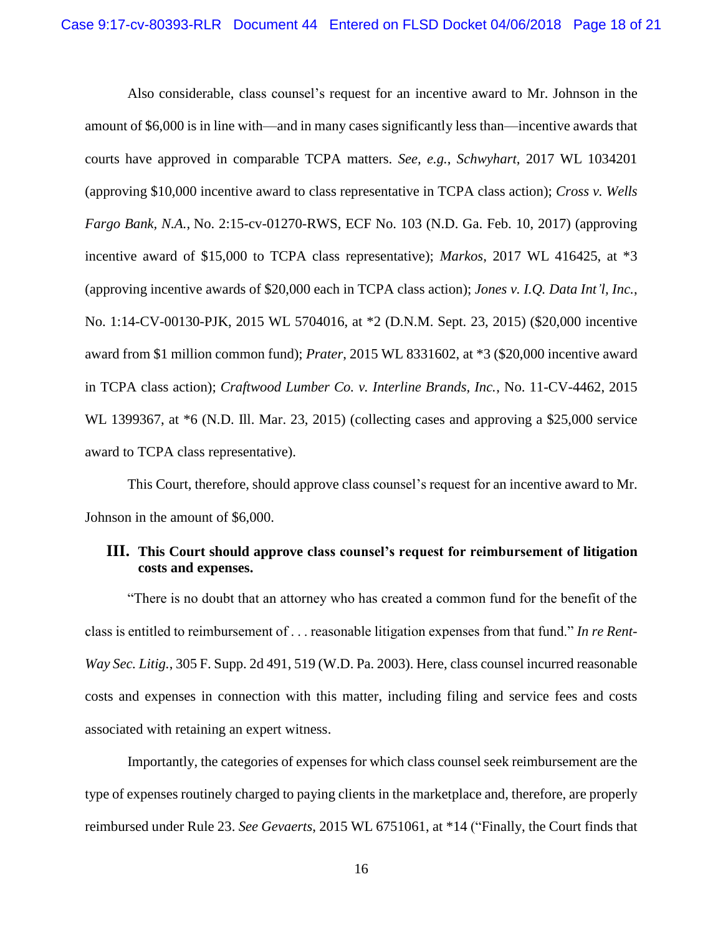Also considerable, class counsel's request for an incentive award to Mr. Johnson in the amount of \$6,000 is in line with—and in many cases significantly less than—incentive awards that courts have approved in comparable TCPA matters. *See, e.g.*, *Schwyhart*, 2017 WL 1034201 (approving \$10,000 incentive award to class representative in TCPA class action); *Cross v. Wells Fargo Bank, N.A.*, No. 2:15-cv-01270-RWS, ECF No. 103 (N.D. Ga. Feb. 10, 2017) (approving incentive award of \$15,000 to TCPA class representative); *Markos*, 2017 WL 416425, at \*3 (approving incentive awards of \$20,000 each in TCPA class action); *Jones v. I.Q. Data Int'l, Inc.*, No. 1:14-CV-00130-PJK, 2015 WL 5704016, at \*2 (D.N.M. Sept. 23, 2015) (\$20,000 incentive award from \$1 million common fund); *Prater*, 2015 WL 8331602, at \*3 (\$20,000 incentive award in TCPA class action); *Craftwood Lumber Co. v. Interline Brands, Inc.*, No. 11-CV-4462, 2015 WL 1399367, at  $*6$  (N.D. Ill. Mar. 23, 2015) (collecting cases and approving a \$25,000 service award to TCPA class representative).

This Court, therefore, should approve class counsel's request for an incentive award to Mr. Johnson in the amount of \$6,000.

# <span id="page-17-0"></span>**III. This Court should approve class counsel's request for reimbursement of litigation costs and expenses.**

"There is no doubt that an attorney who has created a common fund for the benefit of the class is entitled to reimbursement of . . . reasonable litigation expenses from that fund." *In re Rent-Way Sec. Litig.*, 305 F. Supp. 2d 491, 519 (W.D. Pa. 2003). Here, class counsel incurred reasonable costs and expenses in connection with this matter, including filing and service fees and costs associated with retaining an expert witness.

Importantly, the categories of expenses for which class counsel seek reimbursement are the type of expenses routinely charged to paying clients in the marketplace and, therefore, are properly reimbursed under Rule 23. *See Gevaerts*, 2015 WL 6751061, at \*14 ("Finally, the Court finds that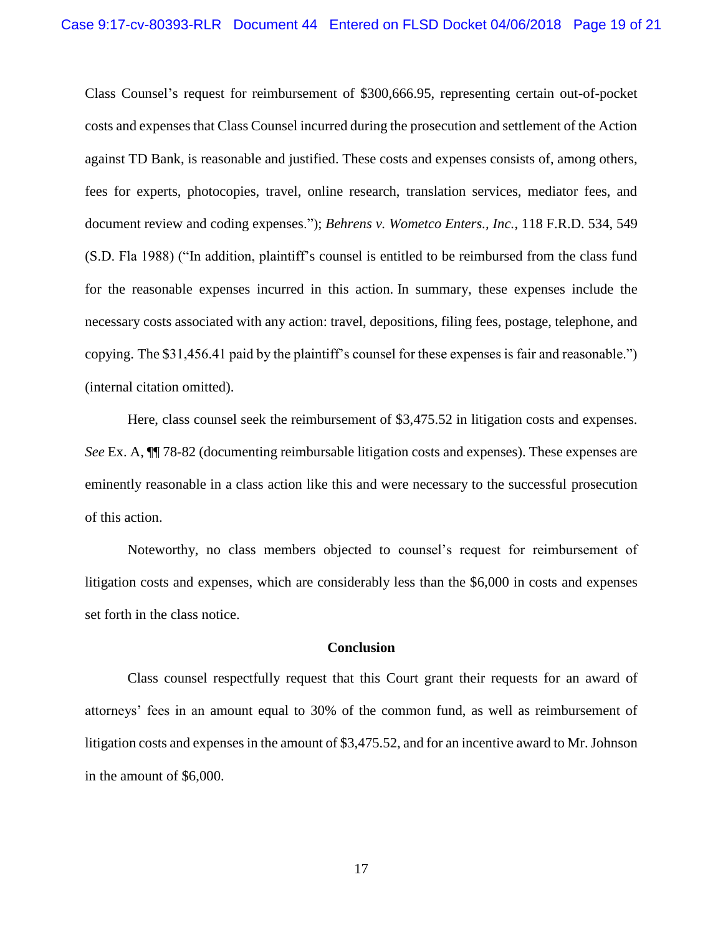Class Counsel's request for reimbursement of \$300,666.95, representing certain out-of-pocket costs and expenses that Class Counsel incurred during the prosecution and settlement of the Action against TD Bank, is reasonable and justified. These costs and expenses consists of, among others, fees for experts, photocopies, travel, online research, translation services, mediator fees, and document review and coding expenses."); *Behrens v. Wometco Enters., Inc.*, 118 F.R.D. 534, 549 (S.D. Fla 1988) ("In addition, plaintiff's counsel is entitled to be reimbursed from the class fund for the reasonable expenses incurred in this action. In summary, these expenses include the necessary costs associated with any action: travel, depositions, filing fees, postage, telephone, and copying. The \$31,456.41 paid by the plaintiff's counsel for these expenses is fair and reasonable.") (internal citation omitted).

Here, class counsel seek the reimbursement of \$3,475.52 in litigation costs and expenses. *See* Ex. A,  $\P$  78-82 (documenting reimbursable litigation costs and expenses). These expenses are eminently reasonable in a class action like this and were necessary to the successful prosecution of this action.

Noteworthy, no class members objected to counsel's request for reimbursement of litigation costs and expenses, which are considerably less than the \$6,000 in costs and expenses set forth in the class notice.

### **Conclusion**

<span id="page-18-0"></span>Class counsel respectfully request that this Court grant their requests for an award of attorneys' fees in an amount equal to 30% of the common fund, as well as reimbursement of litigation costs and expenses in the amount of \$3,475.52, and for an incentive award to Mr. Johnson in the amount of \$6,000.

17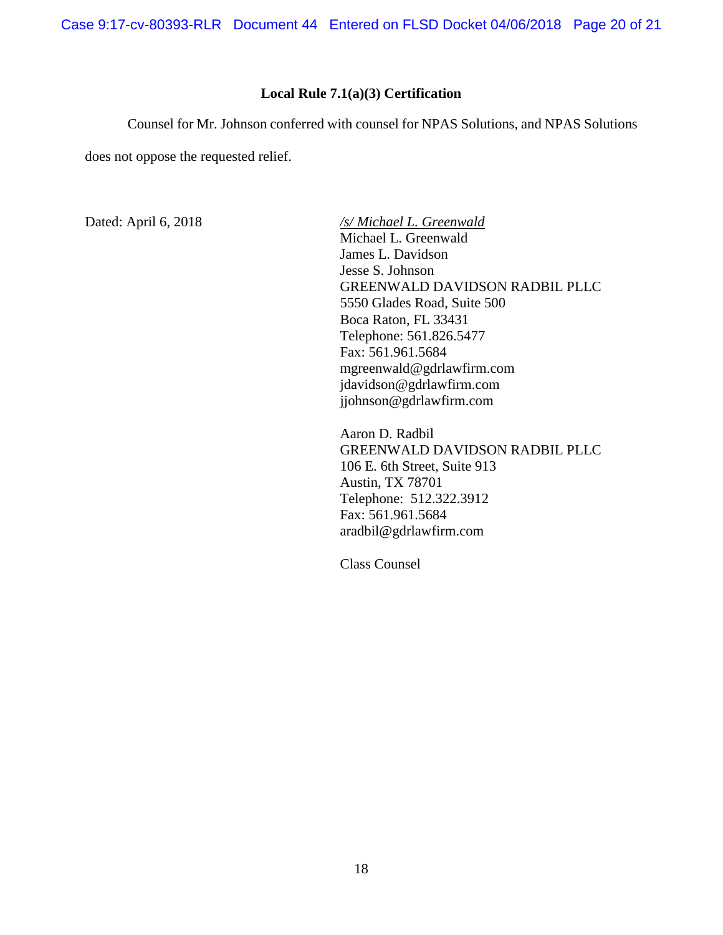Case 9:17-cv-80393-RLR Document 44 Entered on FLSD Docket 04/06/2018 Page 20 of 21

### **Local Rule 7.1(a)(3) Certification**

<span id="page-19-0"></span>Counsel for Mr. Johnson conferred with counsel for NPAS Solutions, and NPAS Solutions

does not oppose the requested relief.

Dated: April 6, 2018 */s/ Michael L. Greenwald* Michael L. Greenwald James L. Davidson Jesse S. Johnson GREENWALD DAVIDSON RADBIL PLLC 5550 Glades Road, Suite 500 Boca Raton, FL 33431 Telephone: 561.826.5477 Fax: 561.961.5684 mgreenwald@gdrlawfirm.com jdavidson@gdrlawfirm.com jjohnson@gdrlawfirm.com

> Aaron D. Radbil GREENWALD DAVIDSON RADBIL PLLC 106 E. 6th Street, Suite 913 Austin, TX 78701 Telephone: 512.322.3912 Fax: 561.961.5684 aradbil@gdrlawfirm.com

Class Counsel